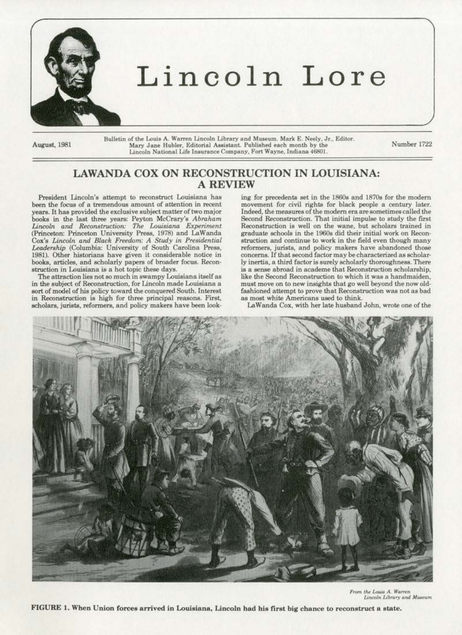

August, 1981

Bulletin of the Louis A. Warren Lincoln Library and Museum. Mark E. Neely, Jr., Editor. Mary Jane Hubler, Editorial Assistant. Published each month by the Lincoln National Life Insurance Company, Fort Wayne, Indiana 46801.

Number 1722

## **LAWANDA COX ON RECONSTRUCTION IN LOUISIANA: A REVIEW**

President Lincoln's attempt to reconstruct Louisiana has been the focus of a tremendous amount of attention in recent years. It has provided the exclusive subject matter of two major books in the last three years: Peyton McCrary's Abraham<br>Lincoln and Reconstruction: The Louisiana Experiment (Princeton: Princeton University Press, 1978) and LaWanda<br>Cox's Lincoln and Black Freedom: A Study in Presidential Leadership (Columbia: University of South Carolina Press, 1981). Other historians have given it considerable notice in books, articles, and scholarly papers of broader focus. Reconstruction in Louisiana is a hot topic these days.

The attraction lies not so much in swampy Louisiana itself as in the subject of Reconstruction, for Lincoln made Louisiana a sort of model of his policy toward the conquered South. Interest in Reconstruction is high for three principal reasons. First, scholars, jurists, reformers, and policy makers have been look-

ing for precedents set in the 1860s and 1870s for the modern movement for civil rights for black people a century later. Indeed, the measures of the modern era are sometimes called the Second Reconstruction. That initial impulse to study the first Reconstruction is well on the wane, but scholars trained in graduate schools in the 1960s did their initial work on Reconstruction and continue to work in the field even though many reformers, jurists, and policy makers have abandoned those concerns. If that second factor may be characterized as scholarly inertia, a third factor is surely scholarly thoroughness. There is a sense abroad in academe that Reconstruction scholarship. like the Second Reconstruction to which it was a handmaiden, must move on to new insights that go well beyond the now oldfashioned attempt to prove that Reconstruction was not as bad as most white Americans used to think.

LaWanda Cox, with her late husband John, wrote one of the



From the Louis A. Warren Lincoln Library and Museum

FIGURE 1. When Union forces arrived in Louisiana, Lincoln had his first big chance to reconstruct a state.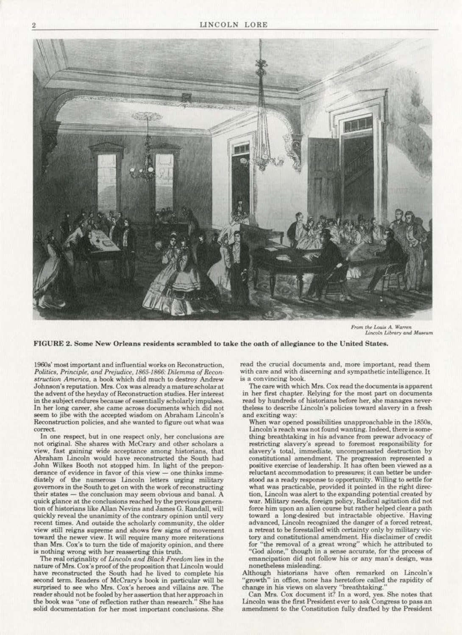

*From the Louis A. Warren*<br>*Lincoln Library and Museum* 

FIGURE 2. Some New Orleans residents scrambled to take the oath of allegiance to the United States.

1960s' most important and influentiaJ works on Reconstruction, Politics, Principle, and Prejudice, 1865-1866: Dilemma of Recon*struction America.* a book which djd much to destroy Andrew Johnson's reputation. Mrs. Cox was already a mature scholar at the advent of the heyday of Reconstruction studies. Her interest in the subject endures because of essentially scholarly impulses. In her long career, she came across documents which did not seem to jibe with the accepted wisdom on Abraham Lincoln's Reconstruction policies, and she wanted to figure out what was correct.

ln one respect., but in one respoct only, her conclusions are not original. *She* shares with McCrary and other scholars a view, fast gaining wide acceptance among historians. that Abraham Lincoln would have reconstructed the South had John Wilkes Booth not stopped him. In light of the prepon· derance of evidence in favor of this view- one thinks immediately of the numerous Lincoln letters urging military governors in the South to get on with the work of reconstructing their states - the conclusion may seem obvious and banal. A quick glance at the conclusions reached by the previous genera· tion of historians like Allan Nevins and James G. Randall, will quick1y reveal the unanimity of the contrary opinion until very recent times. And outside the scholarly community, the older view still reigns supreme and shows few signs of movement. toward the newer view. It will require many more reiterations than Mrs. Cox's to turn the tide of majority opinion, and there is nothing wrong with her reasserting this truth.

The real originality of *Unco/n and Black Freedom* lies in the nature of Mrs. Cox's proof of the proposition that Lincoln would have reconstructed the South had he lived to complete his second term. Readers of McCrary"s book in particular will be surprised to see who Mrs. Cox's heroes and villains are. The reader should not be fooled by her assertion that her approach in the book was ''one of reflection rather than research." She has solid documentation for her most important conclusions. She read the crucial documents and, more important, read them with care and with discerning and sympathetic intelligence. It is a convincing book.

The care with which Mrs. Cox read the documents is apparent in her first chapter. Relying for the most part on documents read by hundred& of historians before her, she manages never· theless to describe Lincoln's policies toward slavery in a fresh and exciting way:

When war opened possibilities unapproachable in the 1850s. Lincoln's reach was not found wanting. Indeed, there is something breathtaking in his advanoe from prewar advocacy of restricting slavery's spread to foremost responsibility for slavery"s total, immediate, uncompensated destruction by constitutional amendment. The progression represented a positive exercise of leadership. It has often been viewed as a reluctant accommodation to pressures; it can better be understood as a ready response to opportunity. Willing to settle for what was practicable, provided it pointed in the right direction. Lincoln was alert to the expanding potential created by war. Military needs, foreign policy, Radical agitation did not force him upon an alien course but rather helped clear a path toward a long-desired but intractable objective. Having<br>advanced, Lincoln recognized the danger of a forced retreat, a retreat to be forestalled with certainty only by military victory and constitutional amendment. His disclaimer of credit for "the removal of a great wrong" which he attributed to "God alone," though in a sense accurate, for the process of emancipation did not follow his or any man's design, was nonetheless misleading.

Although historians have often remarked on Lincoln's "growth" in office, none has heretofore called the rapidity of change in his views on slavery "breathtaking."

Can Mrs. Cox document it? In a word, yes. She notes that Lincoln was the first President ever to ask Congress to pass an amendment to the Constitution fully drafted by the President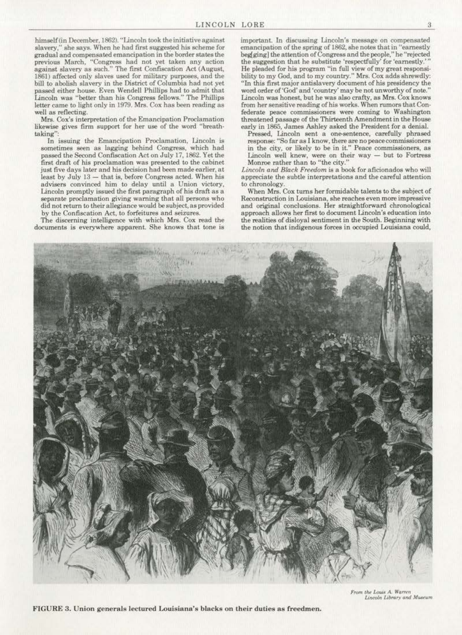himself (in December, 1862). "Lincoln took the initiative against slavery," she says. When he had first suggested his scheme for gradual and compensated emancipation in the border states the previous March, "Congress had not yet taken any action against slavery as such." The first Confiscation Act (August, 1861) affected only slaves used for military purpoaes, and the bill to abolish slavery in the District of Columbia had not yet passed either house. Even Wendell Phillips had to admit thai lincoln was "better than his Congress fellows." The PhiUips letter came to light only in 1979. Mrs. Cox has been reading as well as reflecting.

Mrs. Cox's interpretation of the Emancipation Proclamation likewise gives firm support for her use of the word "breathtaking":

In issuing the Emancipation Proclamation, Lincoln is sometimes seen as lagging behind Congress. which had passed the Second Confiscation Act on July 17, 1862. Yet the first draft of his proclamation was presented to the cabinet just five days later and his decision had been made earlier, at least by July 13 - that is, before Congress acted. When his advisers convinced him to delay until a Union victory. Lincoln promptly issued the first paragraph of his draft as a separate proclamation giving warning that all persons who did not return to their allegiance would be subject. as provided by the Confiscation Act, to forfeitures and seizures.

The discerning intelligence with which Mrs. Cox read the documents is everywhere apparent. She knows that tone is important. In discussing Lincoln's message on compensated emancipation of the spring of 1862, she notes that in "earnestly beg[ging] the attention of Congress and the people," he "rejected the suggestion that he substitute 'respectfully' for 'earnestly.''' He pleaded for his program "in full view of my great responsi· bility to my God, and to my country." Mrs. Cox adds shrewdly: "In this first major antislavery document of his presidency the word order of'God' and 'country' may be not unworthy of note.'' Lincoln was honest, but he was also crafty, as Mrs. Cox knows from her sensitive reading of his works. When rumors that Con· federate peace commissioners were coming to Washington threatened passage of the Thirteenth Amendment in the House early in 1865, James Ashley asked the President for a denial.

Pressed, Lincoln sent a one-sentence, carefully phrased response: "So far as I know, there are no peace commissioners in the city, or likely to be in it." Peace commissioners. as  $Lincoh$  well knew, were on their way  $-$  but to Fortress Monroe rather than to "the city."

*Uncoln and Black Freedom* is a book for aficionados who will appreciate the subtle interpretations and the careful attention

When Mrs. Cox turns her formidable talents to the subject of Reconstruction in Louisiana, she reaches even more impressive and original conclusions. Her straightforward chronologica1 approach allows her first to document Lincoln's education into the realities of disloyal sentiment in the South. Beginning with the notion that indigenous forces in occupied Louisiana could,



**Gillet** 

FIGURE 3. Union generals lectured Louisiana's blacks on their duties as freedmen.